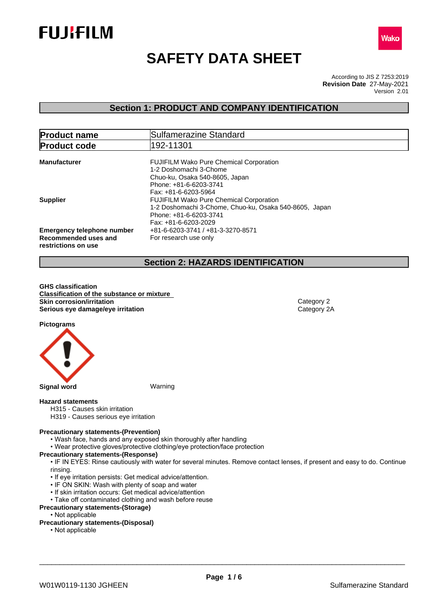



# **SAFETY DATA SHEET**

According to JIS Z 7253:2019 Version 2.01 **Revision Date** 27-May-2021

## **Section 1: PRODUCT AND COMPANY IDENTIFICATION**

| <b>Product name</b>                                                              | Sulfamerazine Standard                                                                                                                                       |  |  |
|----------------------------------------------------------------------------------|--------------------------------------------------------------------------------------------------------------------------------------------------------------|--|--|
| <b>Product code</b>                                                              | 192-11301                                                                                                                                                    |  |  |
| <b>Manufacturer</b>                                                              | <b>FUJIFILM Wako Pure Chemical Corporation</b><br>1-2 Doshomachi 3-Chome<br>Chuo-ku, Osaka 540-8605, Japan<br>Phone: +81-6-6203-3741<br>Fax: +81-6-6203-5964 |  |  |
| <b>Supplier</b>                                                                  | <b>FUJIFILM Wako Pure Chemical Corporation</b><br>1-2 Doshomachi 3-Chome, Chuo-ku, Osaka 540-8605, Japan<br>Phone: +81-6-6203-3741<br>Fax: +81-6-6203-2029   |  |  |
| <b>Emergency telephone number</b><br>Recommended uses and<br>restrictions on use | +81-6-6203-3741 / +81-3-3270-8571<br>For research use only                                                                                                   |  |  |

## **Section 2: HAZARDS IDENTIFICATION**

**GHS classification Classification of the substance or mixture Skin corrosion/irritation** Category 2 **Serious eye damage/eye irritation** Category 2A

**Pictograms**



### **Hazard statements**

- H315 Causes skin irritation
- H319 Causes serious eye irritation

#### **Precautionary statements-(Prevention)**

- Wash face, hands and any exposed skin thoroughly after handling
- Wear protective gloves/protective clothing/eye protection/face protection

## **Precautionary statements-(Response)**

• IF IN EYES: Rinse cautiously with water for several minutes. Remove contact lenses, if present and easy to do. Continue rinsing.

- If eye irritation persists: Get medical advice/attention.
- IF ON SKIN: Wash with plenty of soap and water
- If skin irritation occurs: Get medical advice/attention
- Take off contaminated clothing and wash before reuse

## **Precautionary statements-(Storage)**

• Not applicable

## **Precautionary statements-(Disposal)**

• Not applicable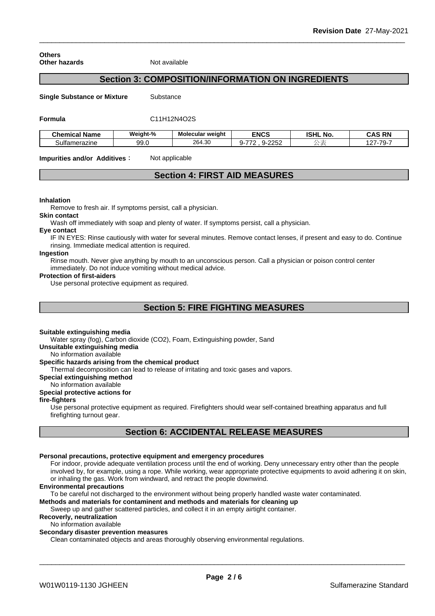**Others Other hazards** Not available

## **Section 3: COMPOSITION/INFORMATION ON INGREDIENTS**

**Single Substance or Mixture** Substance

**Formula** C11H12N4O2S

| <b>Chemical Name</b> | <br>Weight-% | Molecular weight | <b>ENCS</b>                | <b>ISHL</b><br>NO. | <b>RN</b><br>CAS         |
|----------------------|--------------|------------------|----------------------------|--------------------|--------------------------|
| Sultamerazine        | 99.0         | 00100<br>264.30  | $\sim$<br>--<br>◡-<br>- 72 |                    | $\sim$<br>$\overline{z}$ |

**Impurities and/or Additives:** Not applicable

## **Section 4: FIRST AID MEASURES**

#### **Inhalation**

Remove to fresh air. If symptoms persist, call a physician.

**Skin contact**

Wash off immediately with soap and plenty of water. If symptoms persist, call a physician.

#### **Eye contact**

IF IN EYES: Rinse cautiously with water for several minutes. Remove contact lenses, if present and easy to do. Continue rinsing. Immediate medical attention is required.

## **Ingestion**

Rinse mouth. Never give anything by mouth to an unconscious person. Call a physician or poison control center immediately. Do not induce vomiting without medical advice.

#### **Protection of first-aiders**

Use personal protective equipment as required.

## **Section 5: FIRE FIGHTING MEASURES**

#### **Suitable extinguishing media**

Water spray (fog), Carbon dioxide (CO2), Foam, Extinguishing powder, Sand

**Unsuitable extinguishing media**

### No information available

#### **Specific hazards arising from the chemical product**

Thermal decomposition can lead to release of irritating and toxic gases and vapors.

#### **Special extinguishing method**

No information available

## **Special protective actions for**

## **fire-fighters**

Use personal protective equipment as required.Firefighters should wear self-contained breathing apparatus and full firefighting turnout gear.

## **Section 6: ACCIDENTAL RELEASE MEASURES**

## **Personal precautions, protective equipment and emergency procedures**

For indoor, provide adequate ventilation process until the end of working. Deny unnecessary entry other than the people involved by, for example, using a rope. While working, wear appropriate protective equipments to avoid adhering it on skin, or inhaling the gas. Work from windward, and retract the people downwind.

#### **Environmental precautions**

To be careful not discharged to the environment without being properly handled waste water contaminated.

## **Methods and materials for contaminent and methods and materials for cleaning up**

Sweep up and gather scattered particles, and collect it in an empty airtight container.

## **Recoverly, neutralization**

No information available

## **Secondary disaster prevention measures**

Clean contaminated objects and areas thoroughly observing environmental regulations.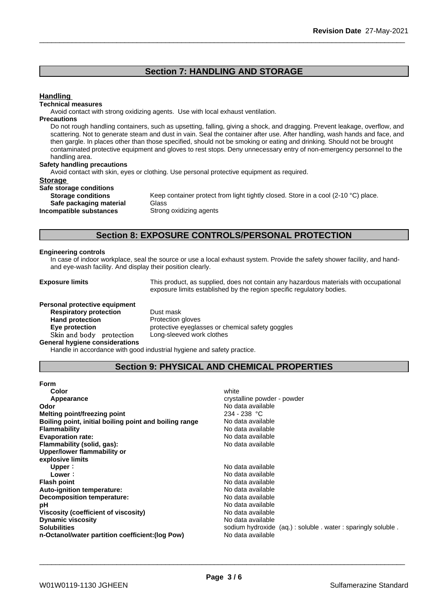## **Section 7: HANDLING AND STORAGE**

## **Handling**

#### **Technical measures**

Avoid contact with strong oxidizing agents. Use with local exhaust ventilation.

### **Precautions**

Do not rough handling containers, such as upsetting, falling, giving a shock, and dragging. Prevent leakage, overflow, and scattering. Not to generate steam and dust in vain. Seal the container after use. After handling, wash hands and face, and then gargle. In places other than those specified, should not be smoking or eating and drinking. Should not be brought contaminated protective equipment and gloves to rest stops. Deny unnecessary entry of non-emergency personnel to the handling area.

#### **Safety handling precautions**

Avoid contact with skin, eyes or clothing. Use personal protective equipment as required.

### **Storage**

| Safe storage conditions   |             |
|---------------------------|-------------|
| <b>Storage conditions</b> | Keep conta  |
| Safe packaging material   | Glass       |
| Incompatible substances   | Strong oxid |

Keep container protect from light tightly closed. Store in a cool (2-10 °C) place. **Safe packaging material** Glass **Strong oxidizing agents** 

## **Section 8: EXPOSURE CONTROLS/PERSONAL PROTECTION**

#### **Engineering controls**

In case of indoor workplace, seal the source or use a local exhaust system. Provide the safety shower facility, and handand eye-wash facility. And display their position clearly.

**Exposure limits** This product, as supplied, does not contain any hazardous materials with occupational exposure limits established by the region specific regulatory bodies.

#### **Personal protective equipment**

**Respiratory protection** Dust mask **Hand protection**<br> **Eye protection**<br> **Eye protection**<br> **Exercise Protective eveglas** Skin and body protection **General hygiene considerations**

protective eyeglasses or chemical safety goggles<br>Long-sleeved work clothes

Handle in accordance with good industrial hygiene and safety practice.

## **Section 9: PHYSICAL AND CHEMICAL PROPERTIES**

| Form                                                   |                                                           |
|--------------------------------------------------------|-----------------------------------------------------------|
| Color                                                  | white                                                     |
| Appearance                                             | crystalline powder - powder                               |
| Odor                                                   | No data available                                         |
| Melting point/freezing point                           | $234 - 238$ °C                                            |
| Boiling point, initial boiling point and boiling range | No data available                                         |
| <b>Flammability</b>                                    | No data available                                         |
| <b>Evaporation rate:</b>                               | No data available                                         |
| Flammability (solid, gas):                             | No data available                                         |
| Upper/lower flammability or                            |                                                           |
| explosive limits                                       |                                                           |
| Upper:                                                 | No data available                                         |
| Lower:                                                 | No data available                                         |
| <b>Flash point</b>                                     | No data available                                         |
| Auto-ignition temperature:                             | No data available                                         |
| Decomposition temperature:                             | No data available                                         |
| рH                                                     | No data available                                         |
| Viscosity (coefficient of viscosity)                   | No data available                                         |
| <b>Dynamic viscosity</b>                               | No data available                                         |
| <b>Solubilities</b>                                    | sodium hydroxide (aq.): soluble water: sparingly soluble. |
| n-Octanol/water partition coefficient: (log Pow)       | No data available                                         |
|                                                        |                                                           |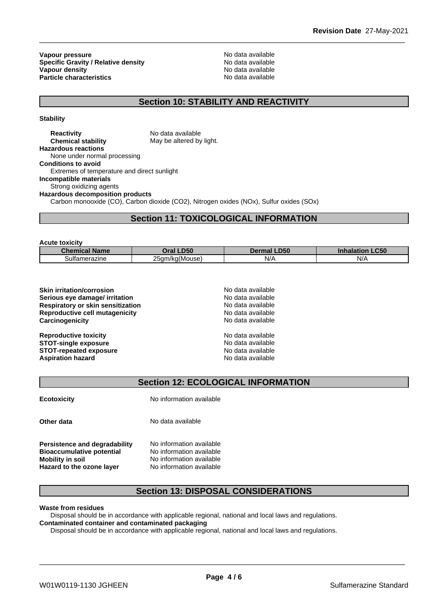**Vapour pressure**<br> **Specific Gravity / Relative density**<br>
Specific Gravity / Relative density<br>  $\frac{1}{2}$  Mo data available **Specific Gravity / Relative density Vapour density Particle characteristics** No data available

**No data available** 

## **Section 10: STABILITY AND REACTIVITY**

**Stability**

**Reactivity** No data available **Chemical stability** May be altered by light. **Hazardous reactions** None under normal processing **Conditions to avoid** Extremes of temperature and direct sunlight **Incompatible materials** Strong oxidizing agents **Hazardous decomposition products** Carbon monooxide (CO), Carbon dioxide (CO2), Nitrogen oxides (NOx), Sulfur oxides (SOx)

**Section 11: TOXICOLOGICAL INFORMATION**

| <b>Acute toxicity</b> |                |                    |                             |
|-----------------------|----------------|--------------------|-----------------------------|
| <b>Chemical Name</b>  | Oral LD50      | <b>Dermal LD50</b> | <b>LC50</b><br>Inhalation I |
| Sultamerazine         | 25qm/kg(Mouse) | N/A                | N/A                         |

**Skin irritation/corrosion** No data available **Serious eye damage/ irritation** No data available **Respiratory or skin sensitization** No data available **Reproductive cell mutagenicity** No data available **Carcinogenicity** No data available

**Reproductive toxicity** No data available **STOT-single exposure** No data available

| <b>Skin irritation/corrosion</b><br>Serious eye damage/ irritation<br>Respiratory or skin sensitization<br>Reproductive cell mutagenicity<br>Carcinogenicity |  |
|--------------------------------------------------------------------------------------------------------------------------------------------------------------|--|
| <b>Reproductive toxicity</b><br><b>STOT-single exposure</b>                                                                                                  |  |

**STOT-repeated exposure**<br> **Aspiration hazard**<br> **Aspiration hazard**<br> **Aspiration hazard Aspiration hazard** 

| <b>Section 12: ECOLOGICAL INFORMATION</b> |  |
|-------------------------------------------|--|

| <b>Ecotoxicity</b>                                                                                                        | No information available                                                                                     |
|---------------------------------------------------------------------------------------------------------------------------|--------------------------------------------------------------------------------------------------------------|
| Other data                                                                                                                | No data available                                                                                            |
| Persistence and degradability<br><b>Bioaccumulative potential</b><br><b>Mobility in soil</b><br>Hazard to the ozone layer | No information available<br>No information available<br>No information available<br>No information available |

## **Section 13: DISPOSAL CONSIDERATIONS**

**Waste from residues**

Disposal should be in accordance with applicable regional, national and local laws and regulations. **Contaminated container and contaminated packaging**

Disposal should be in accordance with applicable regional, national and local laws and regulations.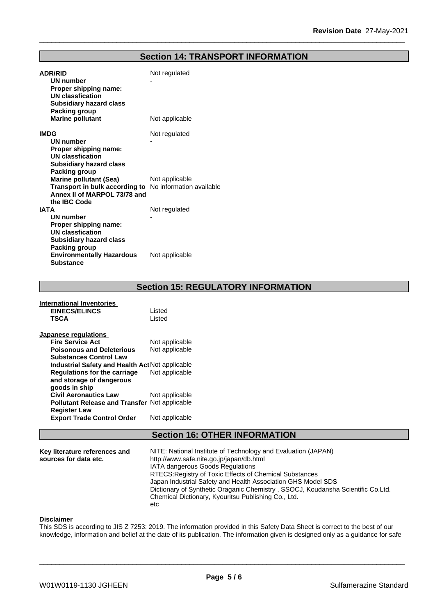## **Section 14: TRANSPORT INFORMATION**

| <b>ADR/RID</b><br><b>UN number</b><br>Proper shipping name:<br><b>UN classfication</b><br><b>Subsidiary hazard class</b><br><b>Packing group</b>                            | Not regulated  |
|-----------------------------------------------------------------------------------------------------------------------------------------------------------------------------|----------------|
| <b>Marine pollutant</b>                                                                                                                                                     | Not applicable |
| <b>IMDG</b><br>UN number<br>Proper shipping name:<br><b>UN classfication</b>                                                                                                | Not regulated  |
| <b>Subsidiary hazard class</b><br>Packing group<br><b>Marine pollutant (Sea)</b><br>Transport in bulk according to No information available<br>Annex II of MARPOL 73/78 and | Not applicable |
| the IBC Code<br><b>IATA</b><br><b>UN number</b><br>Proper shipping name:                                                                                                    | Not regulated  |
| <b>UN classfication</b><br><b>Subsidiary hazard class</b><br>Packing group<br><b>Environmentally Hazardous</b><br><b>Substance</b>                                          | Not applicable |

**Section 15: REGULATORY INFORMATION**

#### **International Inventories EINECS/ELINCS** Listed **TSCA** Listed **Japanese regulations Fire Service Act** Not applicable **Poisonous and Deleterious Substances Control Law** Not applicable **Industrial Safety and Health Act**Not applicable **Regulations for the carriage and storage of dangerous goods in ship<br>Civil Aeronautics Law** Mot applicable Not applicable **Civil Aeronautics Law Pollutant Release and Transfer** Not applicable **Register Law Export Trade Control Order** Not applicable

## **Section 16: OTHER INFORMATION**

| Key literature references and<br>sources for data etc. | NITE: National Institute of Technology and Evaluation (JAPAN)<br>http://www.safe.nite.go.jp/japan/db.html<br><b>IATA dangerous Goods Regulations</b><br>RTECS: Registry of Toxic Effects of Chemical Substances<br>Japan Industrial Safety and Health Association GHS Model SDS<br>Dictionary of Synthetic Oraganic Chemistry, SSOCJ, Koudansha Scientific Co.Ltd.<br>Chemical Dictionary, Kyouritsu Publishing Co., Ltd. |  |
|--------------------------------------------------------|---------------------------------------------------------------------------------------------------------------------------------------------------------------------------------------------------------------------------------------------------------------------------------------------------------------------------------------------------------------------------------------------------------------------------|--|
|                                                        | etc                                                                                                                                                                                                                                                                                                                                                                                                                       |  |

#### **Disclaimer**

This SDS is according to JIS Z 7253: 2019. The information provided in this Safety Data Sheet is correct to the best of our knowledge, information and belief at the date of its publication. The information given is designed only as a guidance for safe